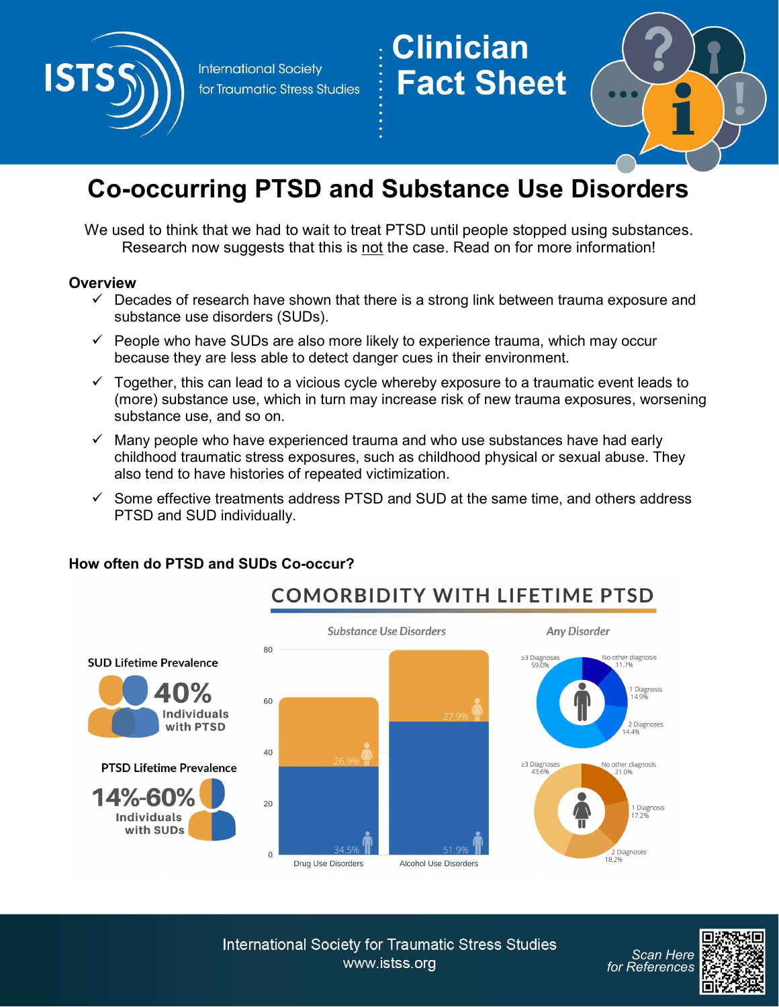

**International Society** for Traumatic Stress Studies

# **Clinician<br>Fact Sheet**



# Co-occurring PTSD and Substance Use Disorders

We used to think that we had to wait to treat PTSD until people stopped using substances. Research now suggests that this is not the case. Read on for more information!

#### **Overview**

- $\checkmark$  Decades of research have shown that there is a strong link between trauma exposure and substance use disorders (SUDs).
- $\checkmark$  People who have SUDs are also more likely to experience trauma, which may occur because they are less able to detect danger cues in their environment.
- $\checkmark$  Together, this can lead to a vicious cycle whereby exposure to a traumatic event leads to (more) substance use, which in turn may increase risk of new trauma exposures, worsening substance use, and so on.
- $\checkmark$  Many people who have experienced trauma and who use substances have had early childhood traumatic stress exposures, such as childhood physical or sexual abuse. They also tend to have histories of repeated victimization.
- $\checkmark$  Some effective treatments address PTSD and SUD at the same time, and others address PTSD and SUD individually.



# How often do PTSD and SUDs Co-occur?

**International Society for Traumatic Stress Studies** www.istss.org